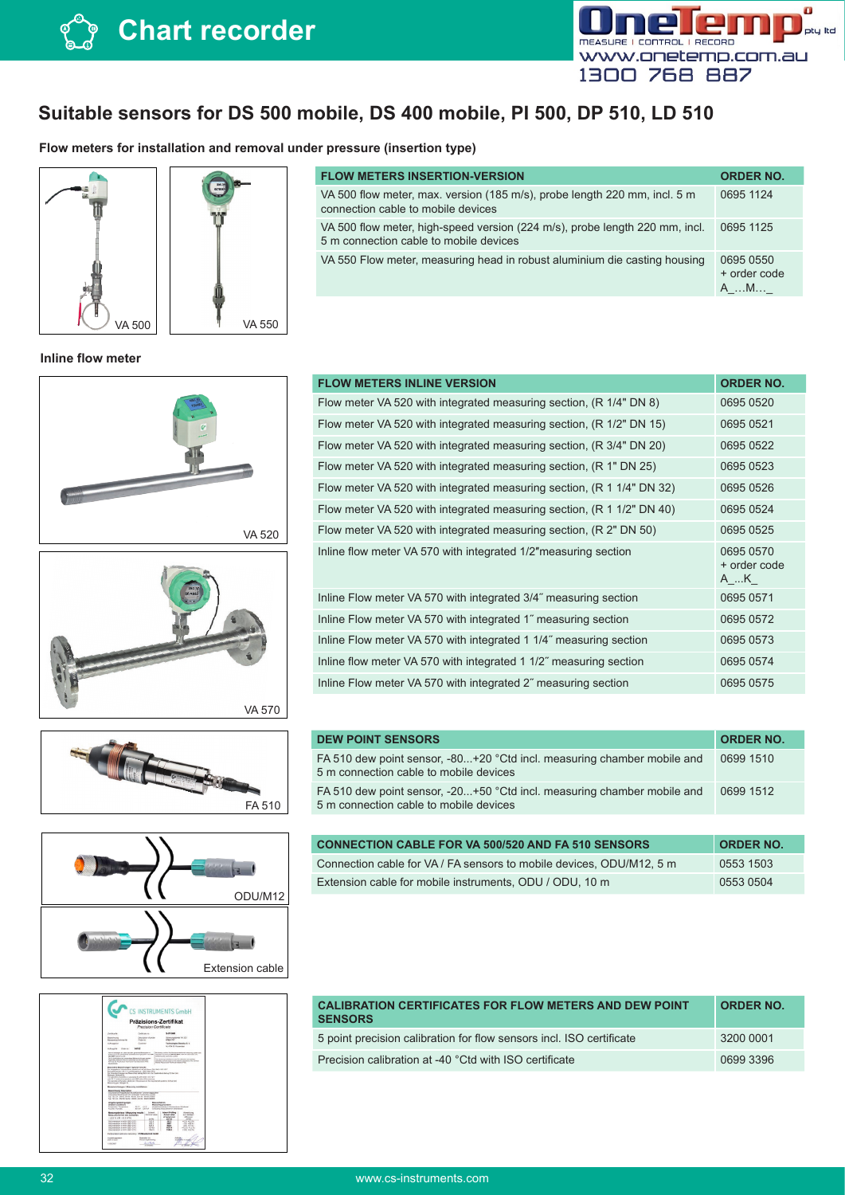

## **Suitable sensors for DS 500 mobile, DS 400 mobile, PI 500, DP 510, LD 510**

**Flow meters for installation and removal under pressure (insertion type)** 





#### **FLOW METERS INSERTION-VERSION ORDER NO.** VA 500 flow meter, max. version (185 m/s), probe length 220 mm, incl. 5 m connection cable to mobile devices 0695 1124 VA 500 flow meter, high-speed version (224 m/s), probe length 220 mm, incl. 5 m connection cable to mobile devices 0695 1125 VA 550 Flow meter, measuring head in robust aluminium die casting housing 0695 0550 + order code A\_…M…\_

### **Inline flow meter**











| <b>FLOW METERS INLINE VERSION</b>                                     | <b>ORDER NO.</b>                 |
|-----------------------------------------------------------------------|----------------------------------|
| Flow meter VA 520 with integrated measuring section, (R 1/4" DN 8)    | 0695 0520                        |
| Flow meter VA 520 with integrated measuring section, (R 1/2" DN 15)   | 0695 0521                        |
| Flow meter VA 520 with integrated measuring section, (R 3/4" DN 20)   | 0695 0522                        |
| Flow meter VA 520 with integrated measuring section, (R 1" DN 25)     | 0695 0523                        |
| Flow meter VA 520 with integrated measuring section, (R 1 1/4" DN 32) | 0695 0526                        |
| Flow meter VA 520 with integrated measuring section, (R 1 1/2" DN 40) | 0695 0524                        |
| Flow meter VA 520 with integrated measuring section, (R 2" DN 50)     | 0695 0525                        |
| Inline flow meter VA 570 with integrated 1/2" measuring section       | 0695 0570<br>+ order code<br>A K |
| Inline Flow meter VA 570 with integrated 3/4" measuring section       | 0695 0571                        |
| Inline Flow meter VA 570 with integrated 1" measuring section         | 0695 0572                        |
| Inline Flow meter VA 570 with integrated 1 1/4" measuring section     | 0695 0573                        |
| Inline flow meter VA 570 with integrated 1 1/2" measuring section     | 0695 0574                        |
| Inline Flow meter VA 570 with integrated 2" measuring section         | 0695 0575                        |

| <b>DEW POINT SENSORS</b>                                                                                          | <b>ORDER NO.</b> |
|-------------------------------------------------------------------------------------------------------------------|------------------|
| FA 510 dew point sensor, -80+20 °Ctd incl. measuring chamber mobile and<br>5 m connection cable to mobile devices | 0699 1510        |
| FA 510 dew point sensor, -20+50 °Ctd incl. measuring chamber mobile and<br>5 m connection cable to mobile devices | 0699 1512        |
|                                                                                                                   |                  |
| <b>CONNECTION CABLE FOR VA 500/520 AND FA 510 SENSORS</b>                                                         | <b>ORDER NO.</b> |
|                                                                                                                   | $\cdots$         |

| <u>oomned hon oficial for the top of the fit of the called the control</u> |           |
|----------------------------------------------------------------------------|-----------|
| Connection cable for VA / FA sensors to mobile devices. ODU/M12, 5 m       | 0553 1503 |
| Extension cable for mobile instruments, ODU / ODU, 10 m                    | 0553 0504 |

| <b>CALIBRATION CERTIFICATES FOR FLOW METERS AND DEW POINT</b><br><b>SENSORS</b> | <b>ORDER NO.</b> |
|---------------------------------------------------------------------------------|------------------|
| 5 point precision calibration for flow sensors incl. ISO certificate            | 3200 0001        |
| Precision calibration at -40 °Ctd with ISO certificate                          | 06993396         |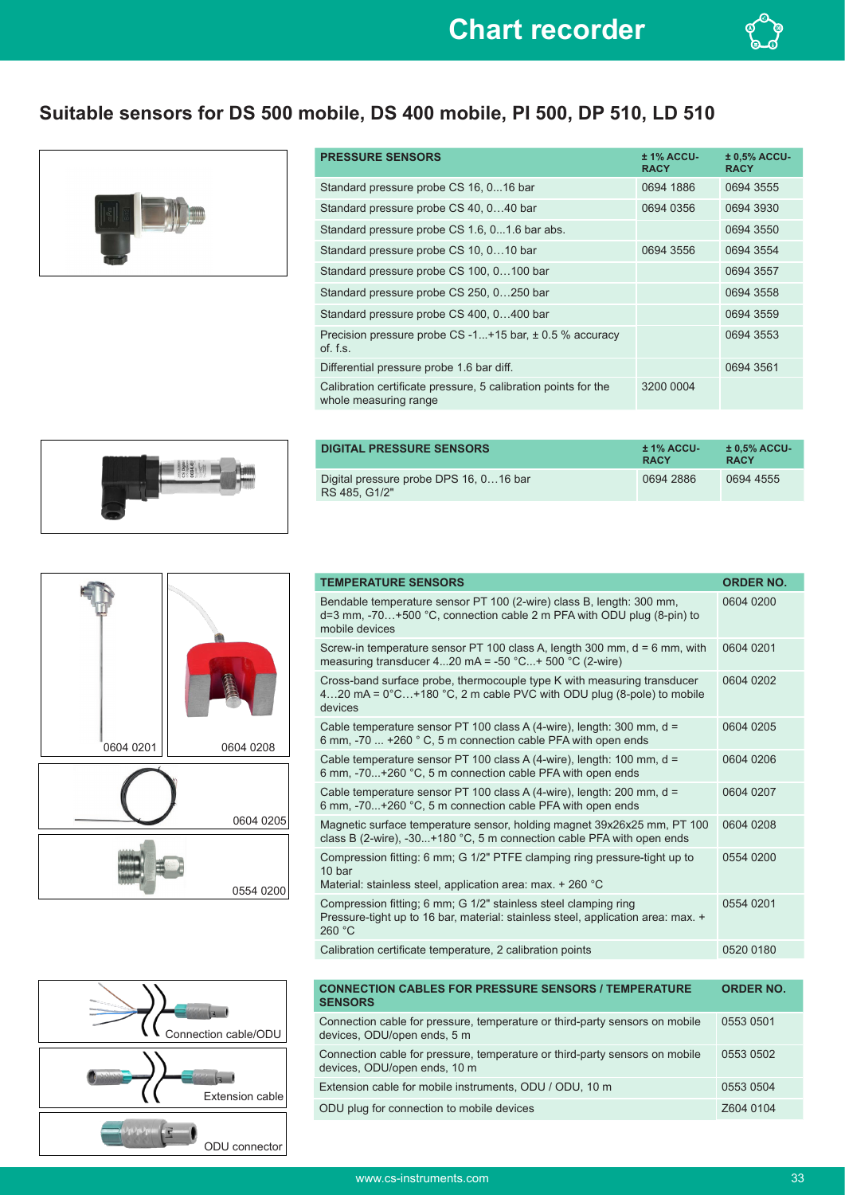

# **Suitable sensors for DS 500 mobile, DS 400 mobile, PI 500, DP 510, LD 510**



| <b>PRESSURE SENSORS</b>                                                                 | $± 1\%$ ACCU-<br><b>RACY</b> | $± 0.5\%$ ACCU-<br><b>RACY</b> |
|-----------------------------------------------------------------------------------------|------------------------------|--------------------------------|
| Standard pressure probe CS 16, 016 bar                                                  | 0694 1886                    | 0694 3555                      |
| Standard pressure probe CS 40, 040 bar                                                  | 0694 0356                    | 0694 3930                      |
| Standard pressure probe CS 1.6, 01.6 bar abs.                                           |                              | 0694 3550                      |
| Standard pressure probe CS 10, 010 bar                                                  | 0694 3556                    | 0694 3554                      |
| Standard pressure probe CS 100, 0100 bar                                                |                              | 0694 3557                      |
| Standard pressure probe CS 250, 0250 bar                                                |                              | 0694 3558                      |
| Standard pressure probe CS 400, 0400 bar                                                |                              | 0694 3559                      |
| Precision pressure probe CS-1+15 bar, $\pm$ 0.5 % accuracy<br>$of.$ f.s.                |                              | 0694 3553                      |
| Differential pressure probe 1.6 bar diff.                                               |                              | 0694 3561                      |
| Calibration certificate pressure, 5 calibration points for the<br>whole measuring range | 3200 0004                    |                                |



| DIGITAL PRESSURE SENSORS                                | $± 1\%$ ACCU-<br><b>RACY</b> | $±0.5\%$ ACCU-<br><b>RACY</b> |
|---------------------------------------------------------|------------------------------|-------------------------------|
| Digital pressure probe DPS 16, 016 bar<br>RS 485, G1/2" | 0694 2886                    | 0694 4555                     |



| <b>TEMPERATURE SENSORS</b>                                                                                                                                          | <b>ORDER NO.</b> |
|---------------------------------------------------------------------------------------------------------------------------------------------------------------------|------------------|
| Bendable temperature sensor PT 100 (2-wire) class B, length: 300 mm,<br>$d=3$ mm, $-70+500$ °C, connection cable 2 m PFA with ODU plug (8-pin) to<br>mobile devices | 0604 0200        |
| Screw-in temperature sensor PT 100 class A, length 300 mm, $d = 6$ mm, with<br>measuring transducer 420 mA = -50 $^{\circ}$ C+ 500 $^{\circ}$ C (2-wire)            | 0604 0201        |
| Cross-band surface probe, thermocouple type K with measuring transducer<br>420 mA = $0^{\circ}$ C+180 °C, 2 m cable PVC with ODU plug (8-pole) to mobile<br>devices | 0604 0202        |
| Cable temperature sensor PT 100 class A (4-wire), length: 300 mm, d =<br>6 mm, -70  +260 ° C, 5 m connection cable PFA with open ends                               | 0604 0205        |
| Cable temperature sensor PT 100 class A (4-wire), length: 100 mm, d =<br>6 mm, -70+260 °C, 5 m connection cable PFA with open ends                                  | 0604 0206        |
| Cable temperature sensor PT 100 class A (4-wire), length: 200 mm, d =<br>6 mm, -70+260 °C, 5 m connection cable PFA with open ends                                  | 0604 0207        |
| Magnetic surface temperature sensor, holding magnet 39x26x25 mm, PT 100<br>class B (2-wire), -30+180 °C, 5 m connection cable PFA with open ends                    | 0604 0208        |
| Compression fitting: 6 mm; G 1/2" PTFE clamping ring pressure-tight up to<br>10 bar<br>Material: stainless steel, application area: max. + 260 °C                   | 0554 0200        |
| Compression fitting; 6 mm; G 1/2" stainless steel clamping ring<br>Pressure-tight up to 16 bar, material: stainless steel, application area: max. +<br>260 °C       | 0554 0201        |
| Calibration certificate temperature, 2 calibration points                                                                                                           | 0520 0180        |



| <b>ORDER NO.</b> |
|------------------|
| 0553 0501        |
| 0553 0502        |
| 0553 0504        |
| Z604 0104        |
|                  |